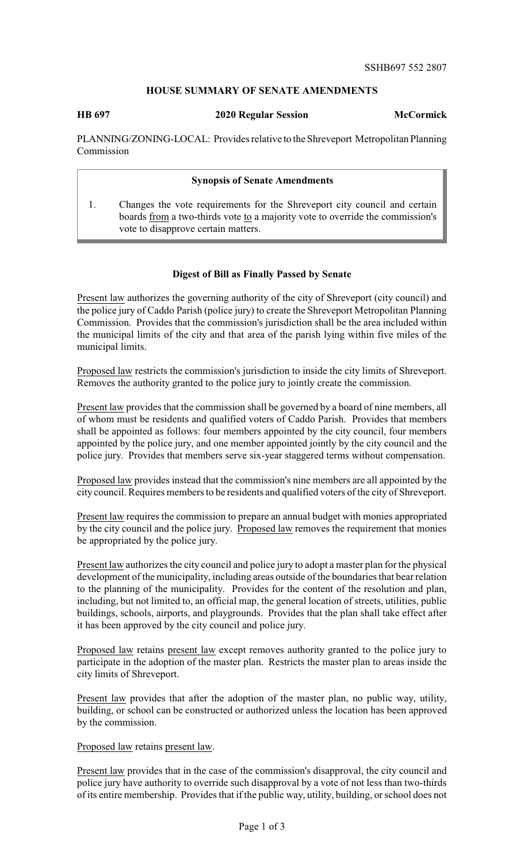## **HOUSE SUMMARY OF SENATE AMENDMENTS**

**HB 697 2020 Regular Session McCormick**

PLANNING/ZONING-LOCAL: Provides relative to the Shreveport Metropolitan Planning Commission

## **Synopsis of Senate Amendments**

1. Changes the vote requirements for the Shreveport city council and certain boards from a two-thirds vote to a majority vote to override the commission's vote to disapprove certain matters.

## **Digest of Bill as Finally Passed by Senate**

Present law authorizes the governing authority of the city of Shreveport (city council) and the police jury of Caddo Parish (police jury) to create the Shreveport Metropolitan Planning Commission. Provides that the commission's jurisdiction shall be the area included within the municipal limits of the city and that area of the parish lying within five miles of the municipal limits.

Proposed law restricts the commission's jurisdiction to inside the city limits of Shreveport. Removes the authority granted to the police jury to jointly create the commission.

Present law provides that the commission shall be governed by a board of nine members, all of whom must be residents and qualified voters of Caddo Parish. Provides that members shall be appointed as follows: four members appointed by the city council, four members appointed by the police jury, and one member appointed jointly by the city council and the police jury. Provides that members serve six-year staggered terms without compensation.

Proposed law provides instead that the commission's nine members are all appointed by the city council. Requires members to be residents and qualified voters of the city of Shreveport.

Present law requires the commission to prepare an annual budget with monies appropriated by the city council and the police jury. Proposed law removes the requirement that monies be appropriated by the police jury.

Present law authorizes the city council and police jury to adopt a master plan for the physical development of the municipality, including areas outside of the boundaries that bear relation to the planning of the municipality. Provides for the content of the resolution and plan, including, but not limited to, an official map, the general location of streets, utilities, public buildings, schools, airports, and playgrounds. Provides that the plan shall take effect after it has been approved by the city council and police jury.

Proposed law retains present law except removes authority granted to the police jury to participate in the adoption of the master plan. Restricts the master plan to areas inside the city limits of Shreveport.

Present law provides that after the adoption of the master plan, no public way, utility, building, or school can be constructed or authorized unless the location has been approved by the commission.

Proposed law retains present law.

Present law provides that in the case of the commission's disapproval, the city council and police jury have authority to override such disapproval by a vote of not less than two-thirds of its entire membership. Provides that if the public way, utility, building, or school does not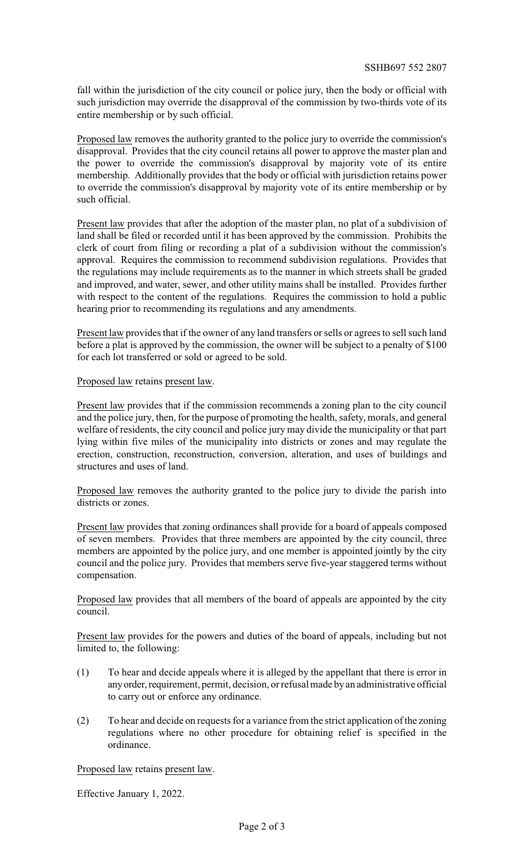fall within the jurisdiction of the city council or police jury, then the body or official with such jurisdiction may override the disapproval of the commission by two-thirds vote of its entire membership or by such official.

Proposed law removes the authority granted to the police jury to override the commission's disapproval. Provides that the city council retains all power to approve the master plan and the power to override the commission's disapproval by majority vote of its entire membership. Additionally provides that the body or official with jurisdiction retains power to override the commission's disapproval by majority vote of its entire membership or by such official.

Present law provides that after the adoption of the master plan, no plat of a subdivision of land shall be filed or recorded until it has been approved by the commission. Prohibits the clerk of court from filing or recording a plat of a subdivision without the commission's approval. Requires the commission to recommend subdivision regulations. Provides that the regulations may include requirements as to the manner in which streets shall be graded and improved, and water, sewer, and other utility mains shall be installed. Provides further with respect to the content of the regulations. Requires the commission to hold a public hearing prior to recommending its regulations and any amendments.

Present law provides that if the owner of any land transfers or sells or agrees to sell such land before a plat is approved by the commission, the owner will be subject to a penalty of \$100 for each lot transferred or sold or agreed to be sold.

Proposed law retains present law.

Present law provides that if the commission recommends a zoning plan to the city council and the police jury, then, for the purpose of promoting the health, safety, morals, and general welfare of residents, the city council and police jury may divide the municipality or that part lying within five miles of the municipality into districts or zones and may regulate the erection, construction, reconstruction, conversion, alteration, and uses of buildings and structures and uses of land.

Proposed law removes the authority granted to the police jury to divide the parish into districts or zones.

Present law provides that zoning ordinances shall provide for a board of appeals composed of seven members. Provides that three members are appointed by the city council, three members are appointed by the police jury, and one member is appointed jointly by the city council and the police jury. Provides that members serve five-year staggered terms without compensation.

Proposed law provides that all members of the board of appeals are appointed by the city council.

Present law provides for the powers and duties of the board of appeals, including but not limited to, the following:

- (1) To hear and decide appeals where it is alleged by the appellant that there is error in any order, requirement, permit, decision, or refusal made by an administrative official to carry out or enforce any ordinance.
- (2) To hear and decide on requests for a variance from the strict application of the zoning regulations where no other procedure for obtaining relief is specified in the ordinance.

Proposed law retains present law.

Effective January 1, 2022.